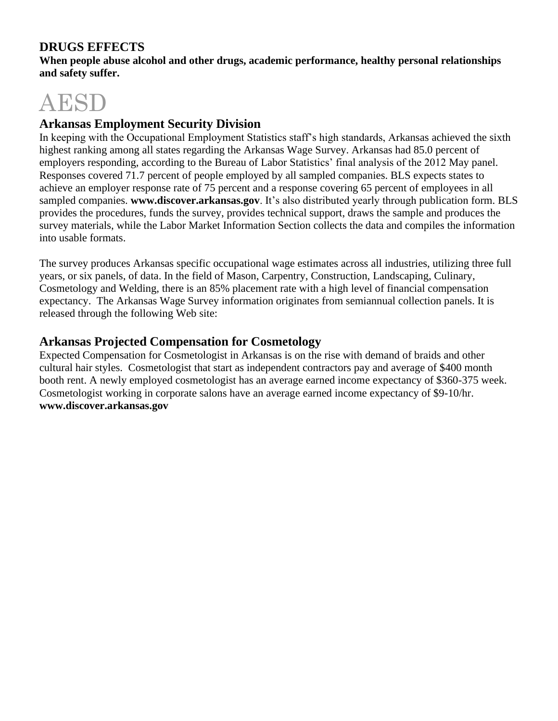# **DRUGS EFFECTS**

**When people abuse alcohol and other drugs, academic performance, healthy personal relationships and safety suffer.**

# AESD

# **Arkansas Employment Security Division**

In keeping with the Occupational Employment Statistics staff's high standards, Arkansas achieved the sixth highest ranking among all states regarding the Arkansas Wage Survey. Arkansas had 85.0 percent of employers responding, according to the Bureau of Labor Statistics' final analysis of the 2012 May panel. Responses covered 71.7 percent of people employed by all sampled companies. BLS expects states to achieve an employer response rate of 75 percent and a response covering 65 percent of employees in all sampled companies. **www.discover.arkansas.gov**. It's also distributed yearly through publication form. BLS provides the procedures, funds the survey, provides technical support, draws the sample and produces the survey materials, while the Labor Market Information Section collects the data and compiles the information into usable formats.

The survey produces Arkansas specific occupational wage estimates across all industries, utilizing three full years, or six panels, of data. In the field of Mason, Carpentry, Construction, Landscaping, Culinary, Cosmetology and Welding, there is an 85% placement rate with a high level of financial compensation expectancy. The Arkansas Wage Survey information originates from semiannual collection panels. It is released through the following Web site:

# **Arkansas Projected Compensation for Cosmetology**

Expected Compensation for Cosmetologist in Arkansas is on the rise with demand of braids and other cultural hair styles. Cosmetologist that start as independent contractors pay and average of \$400 month booth rent. A newly employed cosmetologist has an average earned income expectancy of \$360-375 week. Cosmetologist working in corporate salons have an average earned income expectancy of \$9-10/hr. **www.discover.arkansas.gov**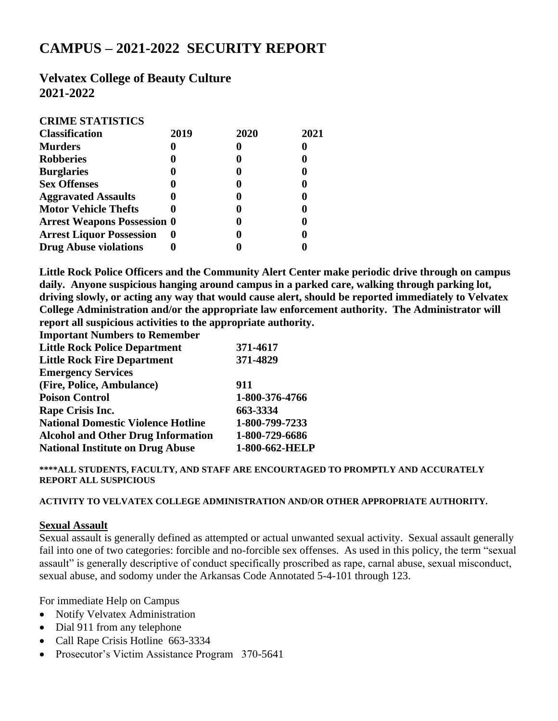# **CAMPUS – 2021-2022 SECURITY REPORT**

## **Velvatex College of Beauty Culture 2021-2022**

### **CRIME STATISTICS**

| <b>Classification</b>              | 2019 | 2020 | 2021 |
|------------------------------------|------|------|------|
| <b>Murders</b>                     |      |      |      |
| <b>Robberies</b>                   |      |      |      |
| <b>Burglaries</b>                  |      |      |      |
| <b>Sex Offenses</b>                |      |      |      |
| <b>Aggravated Assaults</b>         |      |      |      |
| <b>Motor Vehicle Thefts</b>        |      |      |      |
| <b>Arrest Weapons Possession 0</b> |      |      |      |
| <b>Arrest Liquor Possession</b>    | o    |      |      |
| <b>Drug Abuse violations</b>       |      |      |      |

**Little Rock Police Officers and the Community Alert Center make periodic drive through on campus daily. Anyone suspicious hanging around campus in a parked care, walking through parking lot, driving slowly, or acting any way that would cause alert, should be reported immediately to Velvatex College Administration and/or the appropriate law enforcement authority. The Administrator will report all suspicious activities to the appropriate authority.**

**Important Numbers to Remember**

| <b>Little Rock Police Department</b>      | 371-4617       |
|-------------------------------------------|----------------|
| <b>Little Rock Fire Department</b>        | 371-4829       |
| <b>Emergency Services</b>                 |                |
| (Fire, Police, Ambulance)                 | 911            |
| <b>Poison Control</b>                     | 1-800-376-4766 |
| Rape Crisis Inc.                          | 663-3334       |
| <b>National Domestic Violence Hotline</b> | 1-800-799-7233 |
| <b>Alcohol and Other Drug Information</b> | 1-800-729-6686 |
| <b>National Institute on Drug Abuse</b>   | 1-800-662-HELP |

**\*\*\*\*ALL STUDENTS, FACULTY, AND STAFF ARE ENCOURTAGED TO PROMPTLY AND ACCURATELY REPORT ALL SUSPICIOUS**

#### **ACTIVITY TO VELVATEX COLLEGE ADMINISTRATION AND/OR OTHER APPROPRIATE AUTHORITY.**

#### **Sexual Assault**

Sexual assault is generally defined as attempted or actual unwanted sexual activity. Sexual assault generally fail into one of two categories: forcible and no-forcible sex offenses. As used in this policy, the term "sexual assault" is generally descriptive of conduct specifically proscribed as rape, carnal abuse, sexual misconduct, sexual abuse, and sodomy under the Arkansas Code Annotated 5-4-101 through 123.

For immediate Help on Campus

- Notify Velvatex Administration
- Dial 911 from any telephone
- Call Rape Crisis Hotline 663-3334
- Prosecutor's Victim Assistance Program 370-5641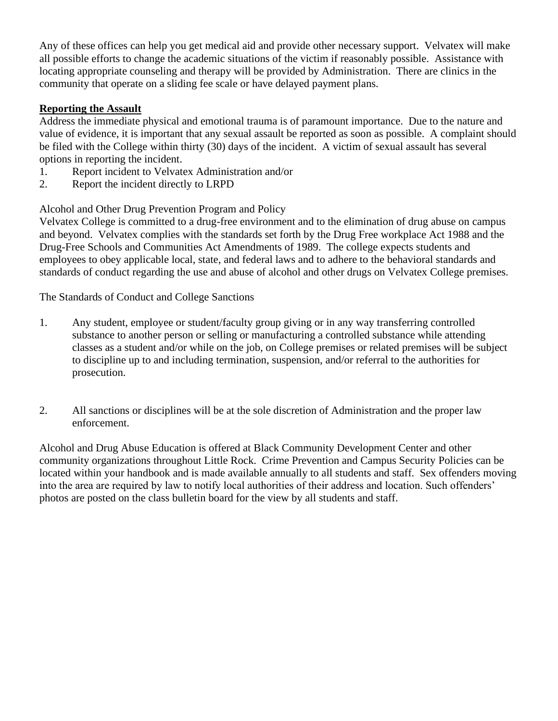Any of these offices can help you get medical aid and provide other necessary support. Velvatex will make all possible efforts to change the academic situations of the victim if reasonably possible. Assistance with locating appropriate counseling and therapy will be provided by Administration. There are clinics in the community that operate on a sliding fee scale or have delayed payment plans.

## **Reporting the Assault**

Address the immediate physical and emotional trauma is of paramount importance. Due to the nature and value of evidence, it is important that any sexual assault be reported as soon as possible. A complaint should be filed with the College within thirty (30) days of the incident. A victim of sexual assault has several options in reporting the incident.

- 1. Report incident to Velvatex Administration and/or
- 2. Report the incident directly to LRPD

Alcohol and Other Drug Prevention Program and Policy

Velvatex College is committed to a drug-free environment and to the elimination of drug abuse on campus and beyond. Velvatex complies with the standards set forth by the Drug Free workplace Act 1988 and the Drug-Free Schools and Communities Act Amendments of 1989. The college expects students and employees to obey applicable local, state, and federal laws and to adhere to the behavioral standards and standards of conduct regarding the use and abuse of alcohol and other drugs on Velvatex College premises.

The Standards of Conduct and College Sanctions

- 1. Any student, employee or student/faculty group giving or in any way transferring controlled substance to another person or selling or manufacturing a controlled substance while attending classes as a student and/or while on the job, on College premises or related premises will be subject to discipline up to and including termination, suspension, and/or referral to the authorities for prosecution.
- 2. All sanctions or disciplines will be at the sole discretion of Administration and the proper law enforcement.

Alcohol and Drug Abuse Education is offered at Black Community Development Center and other community organizations throughout Little Rock. Crime Prevention and Campus Security Policies can be located within your handbook and is made available annually to all students and staff. Sex offenders moving into the area are required by law to notify local authorities of their address and location. Such offenders' photos are posted on the class bulletin board for the view by all students and staff.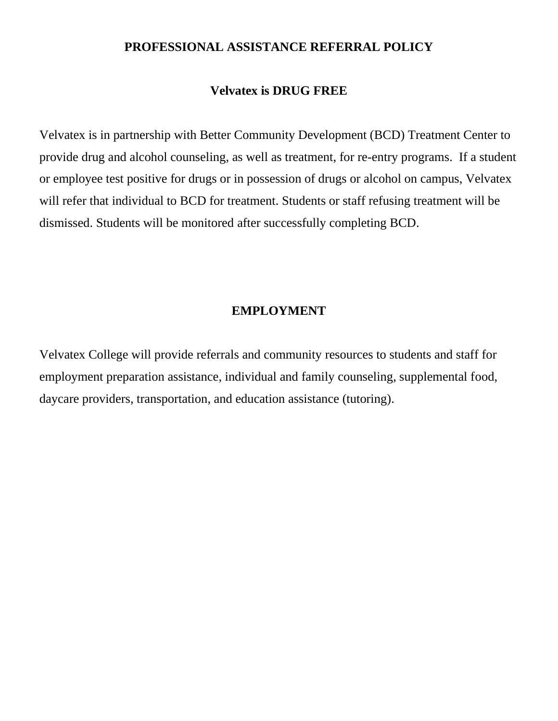## **PROFESSIONAL ASSISTANCE REFERRAL POLICY**

## **Velvatex is DRUG FREE**

Velvatex is in partnership with Better Community Development (BCD) Treatment Center to provide drug and alcohol counseling, as well as treatment, for re-entry programs. If a student or employee test positive for drugs or in possession of drugs or alcohol on campus, Velvatex will refer that individual to BCD for treatment. Students or staff refusing treatment will be dismissed. Students will be monitored after successfully completing BCD.

## **EMPLOYMENT**

Velvatex College will provide referrals and community resources to students and staff for employment preparation assistance, individual and family counseling, supplemental food, daycare providers, transportation, and education assistance (tutoring).